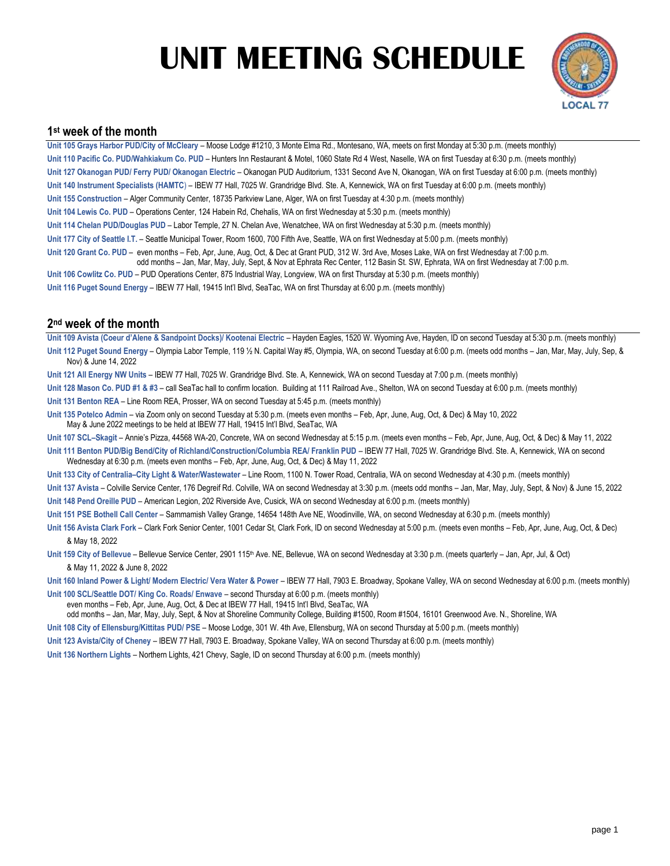# **UNIT MEETING SCHEDULE**



### **1 st week of the month**

**Unit 105 Grays Harbor PUD/City of McCleary** – Moose Lodge #1210, 3 Monte Elma Rd., Montesano, WA, meets on first Monday at 5:30 p.m. (meets monthly) **Unit 110 Pacific Co. PUD/Wahkiakum Co. PUD** – Hunters Inn Restaurant & Motel, 1060 State Rd 4 West, Naselle, WA on first Tuesday at 6:30 p.m. (meets monthly) **Unit 127 Okanogan PUD/ Ferry PUD/ Okanogan Electric** – Okanogan PUD Auditorium, 1331 Second Ave N, Okanogan, WA on first Tuesday at 6:00 p.m. (meets monthly) **Unit 140 Instrument Specialists (HAMTC**) – IBEW 77 Hall, 7025 W. Grandridge Blvd. Ste. A, Kennewick, WA on first Tuesday at 6:00 p.m. (meets monthly) **Unit 155 Construction** – Alger Community Center, 18735 Parkview Lane, Alger, WA on first Tuesday at 4:30 p.m. (meets monthly) **Unit 104 Lewis Co. PUD** – Operations Center, 124 Habein Rd, Chehalis, WA on first Wednesday at 5:30 p.m. (meets monthly) **Unit 114 Chelan PUD/Douglas PUD** – Labor Temple, 27 N. Chelan Ave, Wenatchee, WA on first Wednesday at 5:30 p.m. (meets monthly) **Unit 177 City of Seattle I.T.** – Seattle Municipal Tower, Room 1600, 700 Fifth Ave, Seattle, WA on first Wednesday at 5:00 p.m. (meets monthly) **Unit 120 Grant Co. PUD** – even months – Feb, Apr, June, Aug, Oct, & Dec at Grant PUD, 312 W. 3rd Ave, Moses Lake, WA on first Wednesday at 7:00 p.m. odd months – Jan, Mar, May, July, Sept, & Nov at Ephrata Rec Center, 112 Basin St. SW, Ephrata, WA on first Wednesday at 7:00 p.m. **Unit 106 Cowlitz Co. PUD** – PUD Operations Center, 875 Industrial Way, Longview, WA on first Thursday at 5:30 p.m. (meets monthly)

**Unit 116 Puget Sound Energy** – IBEW 77 Hall, 19415 Int'l Blvd, SeaTac, WA on first Thursday at 6:00 p.m. (meets monthly)

### **2 nd week of the month**

**Unit 109 Avista (Coeur d'Alene & Sandpoint Docks)/ Kootenai Electric** – Hayden Eagles, 1520 W. Wyoming Ave, Hayden, ID on second Tuesday at 5:30 p.m. (meets monthly) **Unit 112 Puget Sound Energy** – Olympia Labor Temple, 119 ½ N. Capital Way #5, Olympia, WA, on second Tuesday at 6:00 p.m. (meets odd months – Jan, Mar, May, July, Sep, & Nov) & June 14, 2022

- **Unit 121 All Energy NW Units** IBEW 77 Hall, 7025 W. Grandridge Blvd. Ste. A, Kennewick, WA on second Tuesday at 7:00 p.m. (meets monthly)
- **Unit 128 Mason Co. PUD #1 & #3** call SeaTac hall to confirm location. Building at 111 Railroad Ave., Shelton, WA on second Tuesday at 6:00 p.m. (meets monthly)
- **Unit 131 Benton REA** Line Room REA, Prosser, WA on second Tuesday at 5:45 p.m. (meets monthly)
- **Unit 135 Potelco Admin** via Zoom only on second Tuesday at 5:30 p.m. (meets even months Feb, Apr, June, Aug, Oct, & Dec) & May 10, 2022 May & June 2022 meetings to be held at IBEW 77 Hall, 19415 Int'l Blvd, SeaTac, WA
- **Unit 107 SCL–Skagit** Annie's Pizza, 44568 WA-20, Concrete, WA on second Wednesday at 5:15 p.m. (meets even months Feb, Apr, June, Aug, Oct, & Dec) & May 11, 2022
- Unit 111 Benton PUD/Big Bend/City of Richland/Construction/Columbia REA/ Franklin PUD IBEW 77 Hall, 7025 W. Grandridge Blvd. Ste. A, Kennewick, WA on second Wednesday at 6:30 p.m. (meets even months – Feb, Apr, June, Aug, Oct, & Dec) & May 11, 2022
- **Unit 133 City of Centralia–City Light & Water/Wastewater** Line Room, 1100 N. Tower Road, Centralia, WA on second Wednesday at 4:30 p.m. (meets monthly)
- **Unit 137 Avista** Colville Service Center, 176 Degreif Rd. Colville, WA on second Wednesday at 3:30 p.m. (meets odd months Jan, Mar, May, July, Sept, & Nov) & June 15, 2022 **Unit 148 Pend Oreille PUD** – American Legion, 202 Riverside Ave, Cusick, WA on second Wednesday at 6:00 p.m. (meets monthly)
- **Unit 151 PSE Bothell Call Center** Sammamish Valley Grange, 14654 148th Ave NE, Woodinville, WA, on second Wednesday at 6:30 p.m. (meets monthly)
- **Unit 156 Avista Clark Fork** Clark Fork Senior Center, 1001 Cedar St, Clark Fork, ID on second Wednesday at 5:00 p.m. (meets even months Feb, Apr, June, Aug, Oct, & Dec) & May 18, 2022
- Unit 159 City of Bellevue Bellevue Service Center, 2901 115<sup>th</sup> Ave. NE, Bellevue, WA on second Wednesday at 3:30 p.m. (meets quarterly Jan, Apr, Jul, & Oct) & May 11, 2022 & June 8, 2022
- Unit 160 Inland Power & Light/ Modern Electric/ Vera Water & Power IBEW 77 Hall, 7903 E. Broadway, Spokane Valley, WA on second Wednesday at 6:00 p.m. (meets monthly)
- **Unit 100 SCL/Seattle DOT/ King Co. Roads/ Enwave** second Thursday at 6:00 p.m. (meets monthly)
- even months Feb, Apr, June, Aug, Oct, & Dec at IBEW 77 Hall, 19415 Int'l Blvd, SeaTac, WA
- odd months Jan, Mar, May, July, Sept, & Nov at Shoreline Community College, Building #1500, Room #1504, 16101 Greenwood Ave. N., Shoreline, WA
- **Unit 108 City of Ellensburg/Kittitas PUD/ PSE** Moose Lodge, 301 W. 4th Ave, Ellensburg, WA on second Thursday at 5:00 p.m. (meets monthly)
- **Unit 123 Avista/City of Cheney** IBEW 77 Hall, 7903 E. Broadway, Spokane Valley, WA on second Thursday at 6:00 p.m. (meets monthly)
- **Unit 136 Northern Lights** Northern Lights, 421 Chevy, Sagle, ID on second Thursday at 6:00 p.m. (meets monthly)